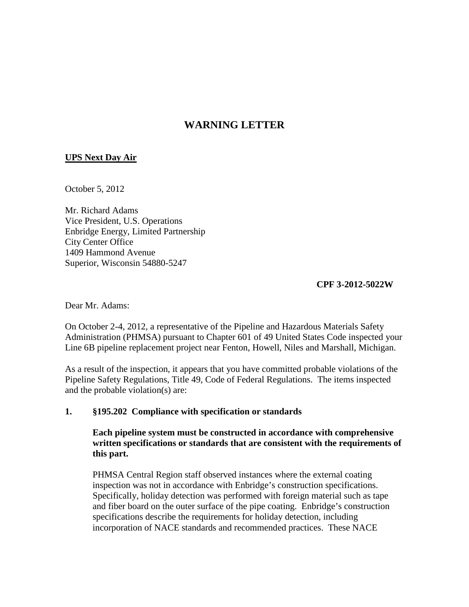# **WARNING LETTER**

## **UPS Next Day Air**

October 5, 2012

Mr. Richard Adams Vice President, U.S. Operations Enbridge Energy, Limited Partnership City Center Office 1409 Hammond Avenue Superior, Wisconsin 54880-5247

**CPF 3-2012-5022W** 

Dear Mr. Adams:

On October 2-4, 2012, a representative of the Pipeline and Hazardous Materials Safety Administration (PHMSA) pursuant to Chapter 601 of 49 United States Code inspected your Line 6B pipeline replacement project near Fenton, Howell, Niles and Marshall, Michigan.

As a result of the inspection, it appears that you have committed probable violations of the Pipeline Safety Regulations, Title 49, Code of Federal Regulations. The items inspected and the probable violation(s) are:

#### **1. §195.202 Compliance with specification or standards**

**Each pipeline system must be constructed in accordance with comprehensive written specifications or standards that are consistent with the requirements of this part.**

PHMSA Central Region staff observed instances where the external coating inspection was not in accordance with Enbridge's construction specifications. Specifically, holiday detection was performed with foreign material such as tape and fiber board on the outer surface of the pipe coating. Enbridge's construction specifications describe the requirements for holiday detection, including incorporation of NACE standards and recommended practices. These NACE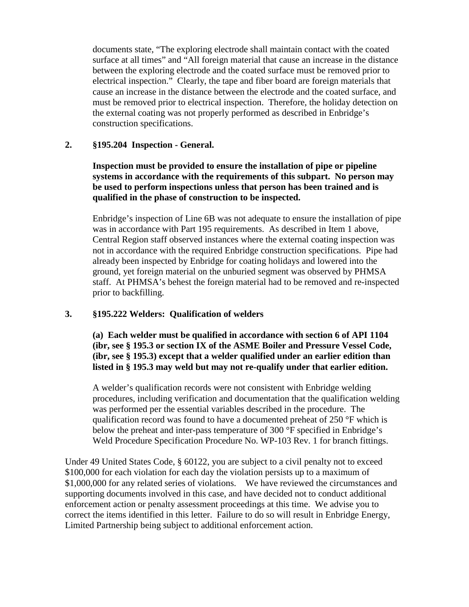documents state, "The exploring electrode shall maintain contact with the coated surface at all times" and "All foreign material that cause an increase in the distance between the exploring electrode and the coated surface must be removed prior to electrical inspection." Clearly, the tape and fiber board are foreign materials that cause an increase in the distance between the electrode and the coated surface, and must be removed prior to electrical inspection. Therefore, the holiday detection on the external coating was not properly performed as described in Enbridge's construction specifications.

### **2. §195.204 Inspection - General.**

**Inspection must be provided to ensure the installation of pipe or pipeline systems in accordance with the requirements of this subpart. No person may be used to perform inspections unless that person has been trained and is qualified in the phase of construction to be inspected.**

Enbridge's inspection of Line 6B was not adequate to ensure the installation of pipe was in accordance with Part 195 requirements. As described in Item 1 above, Central Region staff observed instances where the external coating inspection was not in accordance with the required Enbridge construction specifications. Pipe had already been inspected by Enbridge for coating holidays and lowered into the ground, yet foreign material on the unburied segment was observed by PHMSA staff. At PHMSA's behest the foreign material had to be removed and re-inspected prior to backfilling.

## **3. §195.222 Welders: Qualification of welders**

**(a) Each welder must be qualified in accordance with section 6 of API 1104 (ibr, see § 195.3 or section IX of the ASME Boiler and Pressure Vessel Code, (ibr, see § 195.3) except that a welder qualified under an earlier edition than listed in § 195.3 may weld but may not re-qualify under that earlier edition.**

A welder's qualification records were not consistent with Enbridge welding procedures, including verification and documentation that the qualification welding was performed per the essential variables described in the procedure. The qualification record was found to have a documented preheat of 250 °F which is below the preheat and inter-pass temperature of 300 °F specified in Enbridge's Weld Procedure Specification Procedure No. WP-103 Rev. 1 for branch fittings.

Under 49 United States Code, § 60122, you are subject to a civil penalty not to exceed \$100,000 for each violation for each day the violation persists up to a maximum of \$1,000,000 for any related series of violations. We have reviewed the circumstances and supporting documents involved in this case, and have decided not to conduct additional enforcement action or penalty assessment proceedings at this time. We advise you to correct the items identified in this letter. Failure to do so will result in Enbridge Energy, Limited Partnership being subject to additional enforcement action.